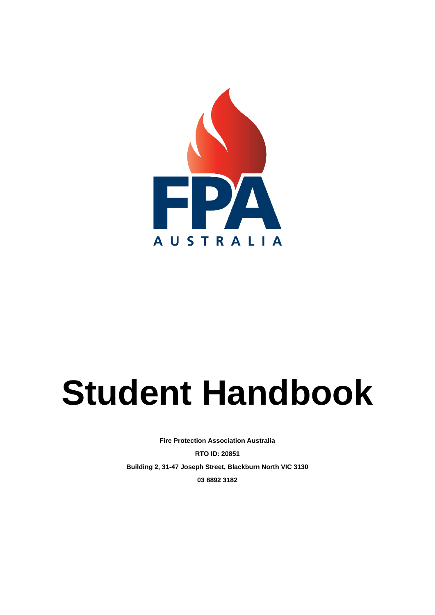

**Fire Protection Association Australia**

<span id="page-0-0"></span>**RTO ID: 20851 Building 2, 31-47 Joseph Street, Blackburn North VIC 3130 03 8892 3182**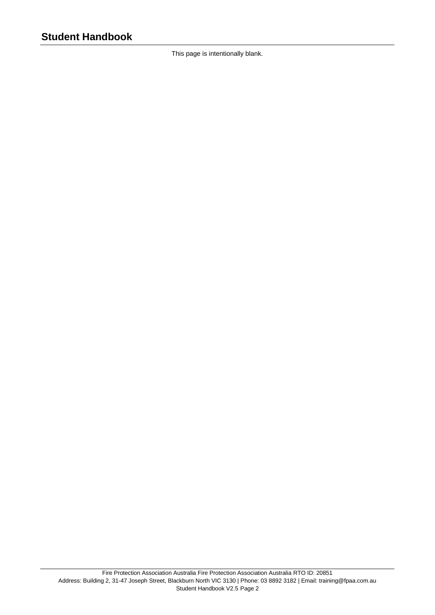This page is intentionally blank.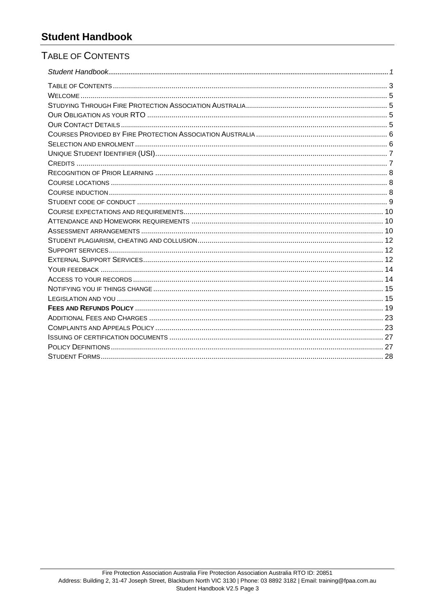# <span id="page-2-0"></span>TABLE OF CONTENTS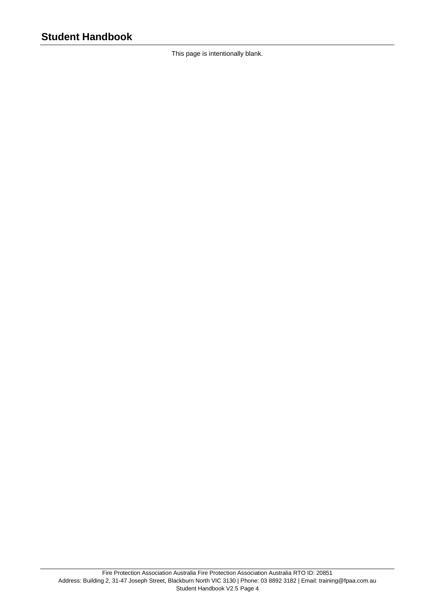This page is intentionally blank.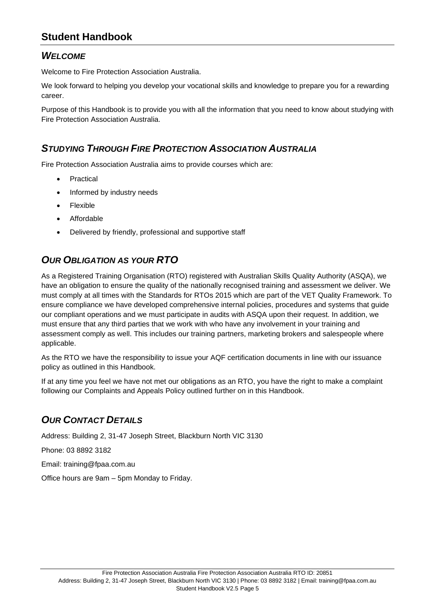## <span id="page-4-0"></span>*WELCOME*

Welcome to Fire Protection Association Australia.

We look forward to helping you develop your vocational skills and knowledge to prepare you for a rewarding career.

Purpose of this Handbook is to provide you with all the information that you need to know about studying with Fire Protection Association Australia.

## <span id="page-4-1"></span>*STUDYING THROUGH FIRE PROTECTION ASSOCIATION AUSTRALIA*

Fire Protection Association Australia aims to provide courses which are:

- **Practical**
- Informed by industry needs
- Flexible
- **Affordable**
- Delivered by friendly, professional and supportive staff

# <span id="page-4-2"></span>*OUR OBLIGATION AS YOUR RTO*

As a Registered Training Organisation (RTO) registered with Australian Skills Quality Authority (ASQA), we have an obligation to ensure the quality of the nationally recognised training and assessment we deliver. We must comply at all times with the Standards for RTOs 2015 which are part of the VET Quality Framework. To ensure compliance we have developed comprehensive internal policies, procedures and systems that guide our compliant operations and we must participate in audits with ASQA upon their request. In addition, we must ensure that any third parties that we work with who have any involvement in your training and assessment comply as well. This includes our training partners, marketing brokers and salespeople where applicable.

As the RTO we have the responsibility to issue your AQF certification documents in line with our issuance policy as outlined in this Handbook.

If at any time you feel we have not met our obligations as an RTO, you have the right to make a complaint following our Complaints and Appeals Policy outlined further on in this Handbook.

# <span id="page-4-3"></span>*OUR CONTACT DETAILS*

Address: Building 2, 31-47 Joseph Street, Blackburn North VIC 3130

Phone: 03 8892 3182

Email: training@fpaa.com.au

Office hours are 9am – 5pm Monday to Friday.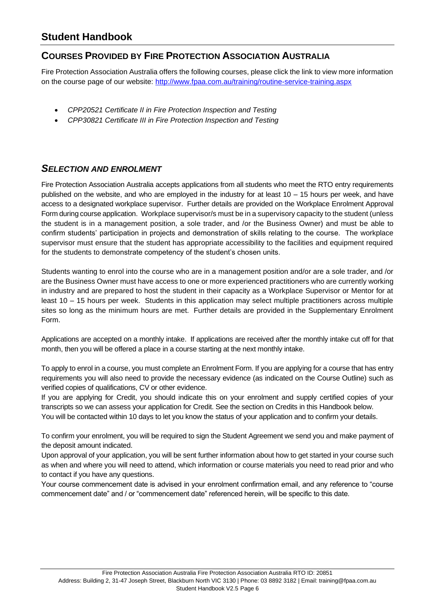## <span id="page-5-0"></span>**COURSES PROVIDED BY FIRE PROTECTION ASSOCIATION AUSTRALIA**

Fire Protection Association Australia offers the following courses, please click the link to view more information on the course page of our website:<http://www.fpaa.com.au/training/routine-service-training.aspx>

- *CPP20521 Certificate II in Fire Protection Inspection and Testing*
- *CPP30821 Certificate III in Fire Protection Inspection and Testing*

## <span id="page-5-1"></span>*SELECTION AND ENROLMENT*

Fire Protection Association Australia accepts applications from all students who meet the RTO entry requirements published on the website, and who are employed in the industry for at least 10 – 15 hours per week, and have access to a designated workplace supervisor. Further details are provided on the Workplace Enrolment Approval Form during course application. Workplace supervisor/s must be in a supervisory capacity to the student (unless the student is in a management position, a sole trader, and /or the Business Owner) and must be able to confirm students' participation in projects and demonstration of skills relating to the course. The workplace supervisor must ensure that the student has appropriate accessibility to the facilities and equipment required for the students to demonstrate competency of the student's chosen units.

Students wanting to enrol into the course who are in a management position and/or are a sole trader, and /or are the Business Owner must have access to one or more experienced practitioners who are currently working in industry and are prepared to host the student in their capacity as a Workplace Supervisor or Mentor for at least 10 – 15 hours per week. Students in this application may select multiple practitioners across multiple sites so long as the minimum hours are met. Further details are provided in the Supplementary Enrolment Form.

Applications are accepted on a monthly intake. If applications are received after the monthly intake cut off for that month, then you will be offered a place in a course starting at the next monthly intake.

To apply to enrol in a course, you must complete an Enrolment Form. If you are applying for a course that has entry requirements you will also need to provide the necessary evidence (as indicated on the Course Outline) such as verified copies of qualifications, CV or other evidence.

If you are applying for Credit, you should indicate this on your enrolment and supply certified copies of your transcripts so we can assess your application for Credit. See the section on Credits in this Handbook below. You will be contacted within 10 days to let you know the status of your application and to confirm your details.

To confirm your enrolment, you will be required to sign the Student Agreement we send you and make payment of the deposit amount indicated.

Upon approval of your application, you will be sent further information about how to get started in your course such as when and where you will need to attend, which information or course materials you need to read prior and who to contact if you have any questions.

Your course commencement date is advised in your enrolment confirmation email, and any reference to "course commencement date" and / or "commencement date" referenced herein, will be specific to this date.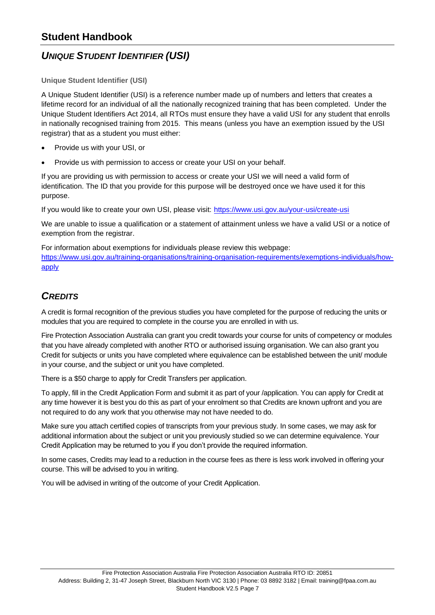# <span id="page-6-0"></span>*UNIQUE STUDENT IDENTIFIER (USI)*

**Unique Student Identifier (USI)**

A Unique Student Identifier (USI) is a reference number made up of numbers and letters that creates a lifetime record for an individual of all the nationally recognized training that has been completed. Under the Unique Student Identifiers Act 2014, all RTOs must ensure they have a valid USI for any student that enrolls in nationally recognised training from 2015. This means (unless you have an exemption issued by the USI registrar) that as a student you must either:

- Provide us with your USI, or
- Provide us with permission to access or create your USI on your behalf.

If you are providing us with permission to access or create your USI we will need a valid form of identification. The ID that you provide for this purpose will be destroyed once we have used it for this purpose.

If you would like to create your own USI, please visit:<https://www.usi.gov.au/your-usi/create-usi>

We are unable to issue a qualification or a statement of attainment unless we have a valid USI or a notice of exemption from the registrar.

For information about exemptions for individuals please review this webpage: [https://www.usi.gov.au/training-organisations/training-organisation-requirements/exemptions-individuals/how](https://www.usi.gov.au/training-organisations/training-organisation-requirements/exemptions-individuals/how-apply)[apply](https://www.usi.gov.au/training-organisations/training-organisation-requirements/exemptions-individuals/how-apply)

## <span id="page-6-1"></span>*CREDITS*

A credit is formal recognition of the previous studies you have completed for the purpose of reducing the units or modules that you are required to complete in the course you are enrolled in with us.

Fire Protection Association Australia can grant you credit towards your course for units of competency or modules that you have already completed with another RTO or authorised issuing organisation. We can also grant you Credit for subjects or units you have completed where equivalence can be established between the unit/ module in your course, and the subject or unit you have completed.

There is a \$50 charge to apply for Credit Transfers per application.

To apply, fill in the Credit Application Form and submit it as part of your /application. You can apply for Credit at any time however it is best you do this as part of your enrolment so that Credits are known upfront and you are not required to do any work that you otherwise may not have needed to do.

Make sure you attach certified copies of transcripts from your previous study. In some cases, we may ask for additional information about the subject or unit you previously studied so we can determine equivalence. Your Credit Application may be returned to you if you don't provide the required information.

In some cases, Credits may lead to a reduction in the course fees as there is less work involved in offering your course. This will be advised to you in writing.

You will be advised in writing of the outcome of your Credit Application.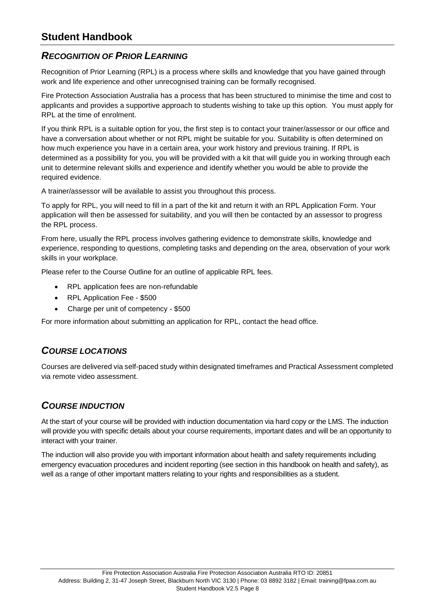# <span id="page-7-0"></span>*RECOGNITION OF PRIOR LEARNING*

Recognition of Prior Learning (RPL) is a process where skills and knowledge that you have gained through work and life experience and other unrecognised training can be formally recognised.

Fire Protection Association Australia has a process that has been structured to minimise the time and cost to applicants and provides a supportive approach to students wishing to take up this option. You must apply for RPL at the time of enrolment.

If you think RPL is a suitable option for you, the first step is to contact your trainer/assessor or our office and have a conversation about whether or not RPL might be suitable for you. Suitability is often determined on how much experience you have in a certain area, your work history and previous training. If RPL is determined as a possibility for you, you will be provided with a kit that will guide you in working through each unit to determine relevant skills and experience and identify whether you would be able to provide the required evidence.

A trainer/assessor will be available to assist you throughout this process.

To apply for RPL, you will need to fill in a part of the kit and return it with an RPL Application Form. Your application will then be assessed for suitability, and you will then be contacted by an assessor to progress the RPL process.

From here, usually the RPL process involves gathering evidence to demonstrate skills, knowledge and experience, responding to questions, completing tasks and depending on the area, observation of your work skills in your workplace.

Please refer to the Course Outline for an outline of applicable RPL fees.

- RPL application fees are non-refundable
- RPL Application Fee \$500
- Charge per unit of competency \$500

For more information about submitting an application for RPL, conta*c*t the head office.

## <span id="page-7-1"></span>*COURSE LOCATIONS*

Courses are delivered via self-paced study within designated timeframes and Practical Assessment completed via remote video assessment.

## <span id="page-7-2"></span>*COURSE INDUCTION*

At the start of your course will be provided with induction documentation via hard copy or the LMS. The induction will provide you with specific details about your course requirements, important dates and will be an opportunity to interact with your trainer.

The induction will also provide you with important information about health and safety requirements including emergency evacuation procedures and incident reporting (see section in this handbook on health and safety), as well as a range of other important matters relating to your rights and responsibilities as a student.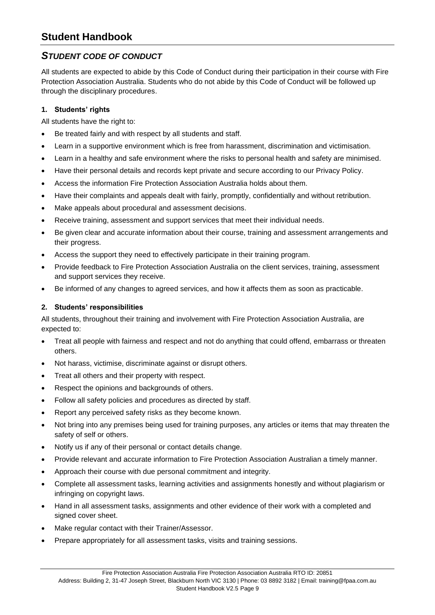## <span id="page-8-0"></span>*STUDENT CODE OF CONDUCT*

All students are expected to abide by this Code of Conduct during their participation in their course with Fire Protection Association Australia. Students who do not abide by this Code of Conduct will be followed up through the disciplinary procedures.

## **1. Students' rights**

All students have the right to:

- Be treated fairly and with respect by all students and staff.
- Learn in a supportive environment which is free from harassment, discrimination and victimisation.
- Learn in a healthy and safe environment where the risks to personal health and safety are minimised.
- Have their personal details and records kept private and secure according to our Privacy Policy.
- Access the information Fire Protection Association Australia holds about them.
- Have their complaints and appeals dealt with fairly, promptly, confidentially and without retribution.
- Make appeals about procedural and assessment decisions.
- Receive training, assessment and support services that meet their individual needs.
- Be given clear and accurate information about their course, training and assessment arrangements and their progress.
- Access the support they need to effectively participate in their training program.
- Provide feedback to Fire Protection Association Australia on the client services, training, assessment and support services they receive.
- Be informed of any changes to agreed services, and how it affects them as soon as practicable.

## **2. Students' responsibilities**

All students, throughout their training and involvement with Fire Protection Association Australia, are expected to:

- Treat all people with fairness and respect and not do anything that could offend, embarrass or threaten others.
- Not harass, victimise, discriminate against or disrupt others.
- Treat all others and their property with respect.
- Respect the opinions and backgrounds of others.
- Follow all safety policies and procedures as directed by staff.
- Report any perceived safety risks as they become known.
- Not bring into any premises being used for training purposes, any articles or items that may threaten the safety of self or others.
- Notify us if any of their personal or contact details change.
- Provide relevant and accurate information to Fire Protection Association Australian a timely manner.
- Approach their course with due personal commitment and integrity.
- Complete all assessment tasks, learning activities and assignments honestly and without plagiarism or infringing on copyright laws.
- Hand in all assessment tasks, assignments and other evidence of their work with a completed and signed cover sheet.
- Make regular contact with their Trainer/Assessor.
- Prepare appropriately for all assessment tasks, visits and training sessions.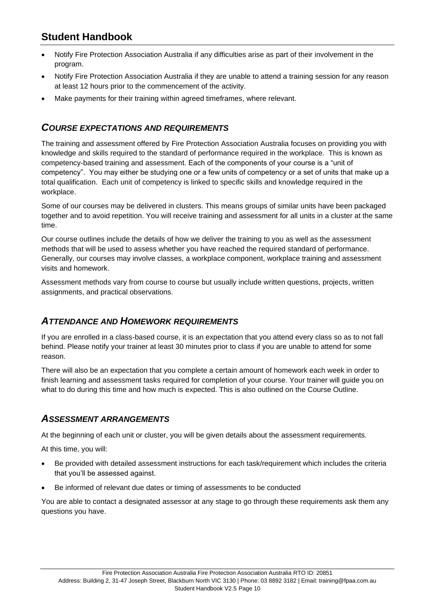- Notify Fire Protection Association Australia if any difficulties arise as part of their involvement in the program.
- Notify Fire Protection Association Australia if they are unable to attend a training session for any reason at least 12 hours prior to the commencement of the activity.
- <span id="page-9-0"></span>Make payments for their training within agreed timeframes, where relevant.

## *COURSE EXPECTATIONS AND REQUIREMENTS*

The training and assessment offered by Fire Protection Association Australia focuses on providing you with knowledge and skills required to the standard of performance required in the workplace. This is known as competency-based training and assessment. Each of the components of your course is a "unit of competency". You may either be studying one or a few units of competency or a set of units that make up a total qualification. Each unit of competency is linked to specific skills and knowledge required in the workplace.

Some of our courses may be delivered in clusters. This means groups of similar units have been packaged together and to avoid repetition. You will receive training and assessment for all units in a cluster at the same time.

Our course outlines include the details of how we deliver the training to you as well as the assessment methods that will be used to assess whether you have reached the required standard of performance. Generally, our courses may involve classes, a workplace component, workplace training and assessment visits and homework.

Assessment methods vary from course to course but usually include written questions, projects, written assignments, and practical observations.

## <span id="page-9-1"></span>*ATTENDANCE AND HOMEWORK REQUIREMENTS*

If you are enrolled in a class-based course, it is an expectation that you attend every class so as to not fall behind. Please notify your trainer at least 30 minutes prior to class if you are unable to attend for some reason.

There will also be an expectation that you complete a certain amount of homework each week in order to finish learning and assessment tasks required for completion of your course. Your trainer will guide you on what to do during this time and how much is expected. This is also outlined on the Course Outline.

## <span id="page-9-2"></span>*ASSESSMENT ARRANGEMENTS*

At the beginning of each unit or cluster, you will be given details about the assessment requirements.

At this time, you will:

- Be provided with detailed assessment instructions for each task/requirement which includes the criteria that you'll be assessed against.
- Be informed of relevant due dates or timing of assessments to be conducted

You are able to contact a designated assessor at any stage to go through these requirements ask them any questions you have.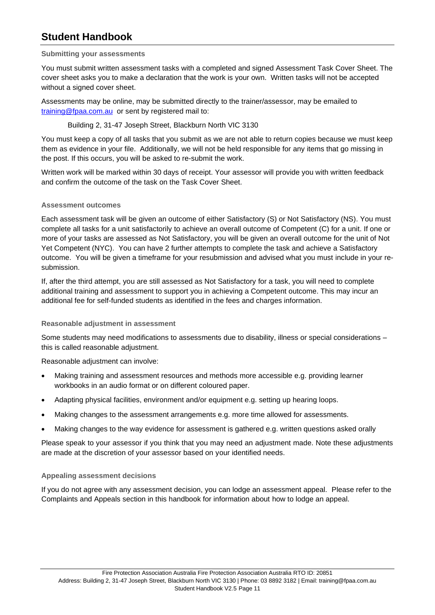#### **Submitting your assessments**

You must submit written assessment tasks with a completed and signed Assessment Task Cover Sheet. The cover sheet asks you to make a declaration that the work is your own. Written tasks will not be accepted without a signed cover sheet.

Assessments may be online, may be submitted directly to the trainer/assessor, may be emailed to [training@fpaa.com.au](mailto:training@fpaa.com.au) or sent by registered mail to:

Building 2, 31-47 Joseph Street, Blackburn North VIC 3130

You must keep a copy of all tasks that you submit as we are not able to return copies because we must keep them as evidence in your file. Additionally, we will not be held responsible for any items that go missing in the post. If this occurs, you will be asked to re-submit the work.

Written work will be marked within 30 days of receipt. Your assessor will provide you with written feedback and confirm the outcome of the task on the Task Cover Sheet.

#### **Assessment outcomes**

Each assessment task will be given an outcome of either Satisfactory (S) or Not Satisfactory (NS). You must complete all tasks for a unit satisfactorily to achieve an overall outcome of Competent (C) for a unit. If one or more of your tasks are assessed as Not Satisfactory, you will be given an overall outcome for the unit of Not Yet Competent (NYC). You can have 2 further attempts to complete the task and achieve a Satisfactory outcome. You will be given a timeframe for your resubmission and advised what you must include in your resubmission.

If, after the third attempt, you are still assessed as Not Satisfactory for a task, you will need to complete additional training and assessment to support you in achieving a Competent outcome. This may incur an additional fee for self-funded students as identified in the fees and charges information.

#### **Reasonable adjustment in assessment**

Some students may need modifications to assessments due to disability, illness or special considerations – this is called reasonable adjustment.

Reasonable adjustment can involve:

- Making training and assessment resources and methods more accessible e.g. providing learner workbooks in an audio format or on different coloured paper.
- Adapting physical facilities, environment and/or equipment e.g. setting up hearing loops.
- Making changes to the assessment arrangements e.g. more time allowed for assessments.
- Making changes to the way evidence for assessment is gathered e.g. written questions asked orally

Please speak to your assessor if you think that you may need an adjustment made. Note these adjustments are made at the discretion of your assessor based on your identified needs.

## **Appealing assessment decisions**

If you do not agree with any assessment decision, you can lodge an assessment appeal. Please refer to the Complaints and Appeals section in this handbook for information about how to lodge an appeal.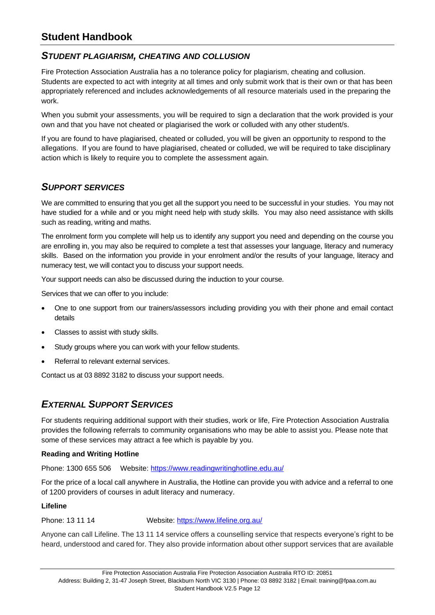## <span id="page-11-0"></span>*STUDENT PLAGIARISM, CHEATING AND COLLUSION*

Fire Protection Association Australia has a no tolerance policy for plagiarism, cheating and collusion. Students are expected to act with integrity at all times and only submit work that is their own or that has been appropriately referenced and includes acknowledgements of all resource materials used in the preparing the work.

When you submit your assessments, you will be required to sign a declaration that the work provided is your own and that you have not cheated or plagiarised the work or colluded with any other student/s.

If you are found to have plagiarised, cheated or colluded, you will be given an opportunity to respond to the allegations. If you are found to have plagiarised, cheated or colluded, we will be required to take disciplinary action which is likely to require you to complete the assessment again.

## <span id="page-11-1"></span>*SUPPORT SERVICES*

We are committed to ensuring that you get all the support you need to be successful in your studies. You may not have studied for a while and or you might need help with study skills. You may also need assistance with skills such as reading, writing and maths.

The enrolment form you complete will help us to identify any support you need and depending on the course you are enrolling in, you may also be required to complete a test that assesses your language, literacy and numeracy skills. Based on the information you provide in your enrolment and/or the results of your language, literacy and numeracy test, we will contact you to discuss your support needs.

Your support needs can also be discussed during the induction to your course.

Services that we can offer to you include:

- One to one support from our trainers/assessors including providing you with their phone and email contact details
- Classes to assist with study skills.
- Study groups where you can work with your fellow students.
- Referral to relevant external services.

Contact us at 03 8892 3182 to discuss your support needs.

## <span id="page-11-2"></span>*EXTERNAL SUPPORT SERVICES*

For students requiring additional support with their studies, work or life, Fire Protection Association Australia provides the following referrals to community organisations who may be able to assist you. Please note that some of these services may attract a fee which is payable by you.

#### **Reading and Writing Hotline**

Phone: 1300 655 506 Website:<https://www.readingwritinghotline.edu.au/>

For the price of a local call anywhere in Australia, the Hotline can provide you with advice and a referral to one of 1200 providers of courses in adult literacy and numeracy.

#### **Lifeline**

Phone: 13 11 14 Website:<https://www.lifeline.org.au/>

Anyone can call Lifeline. The 13 11 14 service offers a counselling service that respects everyone's right to be heard, understood and cared for. They also provide information about other support services that are available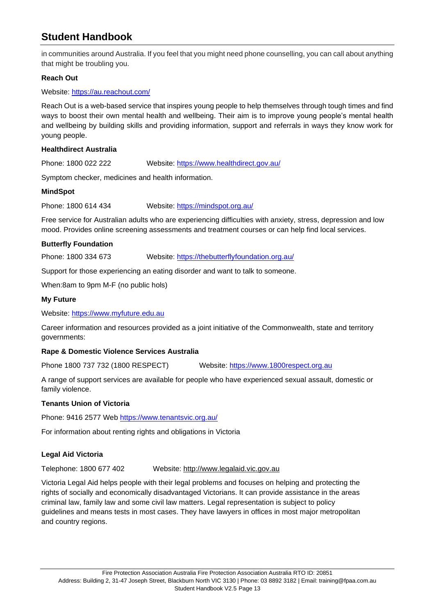in communities around Australia. If you feel that you might need phone counselling, you can call about anything that might be troubling you.

## **Reach Out**

#### Website:<https://au.reachout.com/>

Reach Out is a web-based service that inspires young people to help themselves through tough times and find ways to boost their own mental health and wellbeing. Their aim is to improve young people's mental health and wellbeing by building skills and providing information, support and referrals in ways they know work for young people.

#### **Healthdirect Australia**

Phone: 1800 022 222 Website:<https://www.healthdirect.gov.au/>

Symptom checker, medicines and health information.

## **MindSpot**

Phone: 1800 614 434 Website:<https://mindspot.org.au/>

Free service for Australian adults who are experiencing difficulties with anxiety, stress, depression and low mood. Provides online screening assessments and treatment courses or can help find local services.

## **Butterfly Foundation**

Phone: 1800 334 673 Website: https://thebutterflyfoundation.org.au/

Support for those experiencing an eating disorder and want to talk to someone.

When:8am to 9pm M-F (no public hols)

## **My Future**

Website: [https://www.myfuture.edu.au](https://www.myfuture.edu.au/) 

Career information and resources provided as a joint initiative of the Commonwealth, state and territory governments:

## **Rape & Domestic Violence Services Australia**

Phone 1800 737 732 (1800 RESPECT) Website: [https://www.1800respect.org.au](https://www.1800respect.org.au/)

A range of support services are available for people who have experienced sexual assault, domestic or family violence.

## **Tenants Union of Victoria**

Phone: 9416 2577 Web<https://www.tenantsvic.org.au/>

For information about renting rights and obligations in Victoria

## **Legal Aid Victoria**

Telephone: 1800 677 402 Website: [http://www.legalaid.vic.gov.au](http://www.legalaid.vic.gov.au/)

Victoria Legal Aid helps people with their legal problems and focuses on helping and protecting the rights of socially and economically disadvantaged Victorians. It can provide assistance in the areas criminal law, family law and some civil law matters. Legal representation is subject to policy guidelines and means tests in most cases. They have lawyers in offices in most major metropolitan and country regions.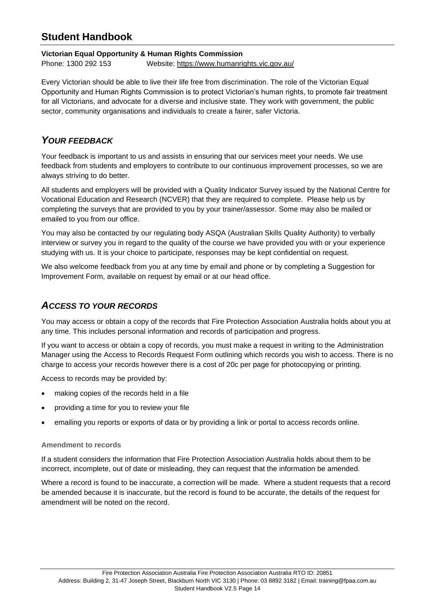## **Victorian Equal Opportunity & Human Rights Commission**

Phone: 1300 292 153 Website:<https://www.humanrights.vic.gov.au/>

Every Victorian should be able to live their life free from discrimination. The role of the Victorian Equal Opportunity and Human Rights Commission is to protect Victorian's human rights, to promote fair treatment for all Victorians, and advocate for a diverse and inclusive state. They work with government, the public sector, community organisations and individuals to create a fairer, safer Victoria.

## <span id="page-13-0"></span>*YOUR FEEDBACK*

Your feedback is important to us and assists in ensuring that our services meet your needs. We use feedback from students and employers to contribute to our continuous improvement processes, so we are always striving to do better.

All students and employers will be provided with a Quality Indicator Survey issued by the National Centre for Vocational Education and Research (NCVER) that they are required to complete. Please help us by completing the surveys that are provided to you by your trainer/assessor. Some may also be mailed or emailed to you from our office.

You may also be contacted by our regulating body ASQA (Australian Skills Quality Authority) to verbally interview or survey you in regard to the quality of the course we have provided you with or your experience studying with us. It is your choice to participate, responses may be kept confidential on request.

We also welcome feedback from you at any time by email and phone or by completing a Suggestion for Improvement Form, available on request by email or at our head office.

## <span id="page-13-1"></span>*ACCESS TO YOUR RECORDS*

You may access or obtain a copy of the records that Fire Protection Association Australia holds about you at any time. This includes personal information and records of participation and progress.

If you want to access or obtain a copy of records, you must make a request in writing to the Administration Manager using the Access to Records Request Form outlining which records you wish to access. There is no charge to access your records however there is a cost of 20c per page for photocopying or printing.

Access to records may be provided by:

- making copies of the records held in a file
- providing a time for you to review your file
- emailing you reports or exports of data or by providing a link or portal to access records online.

#### **Amendment to records**

If a student considers the information that Fire Protection Association Australia holds about them to be incorrect, incomplete, out of date or misleading, they can request that the information be amended.

Where a record is found to be inaccurate, a correction will be made. Where a student requests that a record be amended because it is inaccurate, but the record is found to be accurate, the details of the request for amendment will be noted on the record.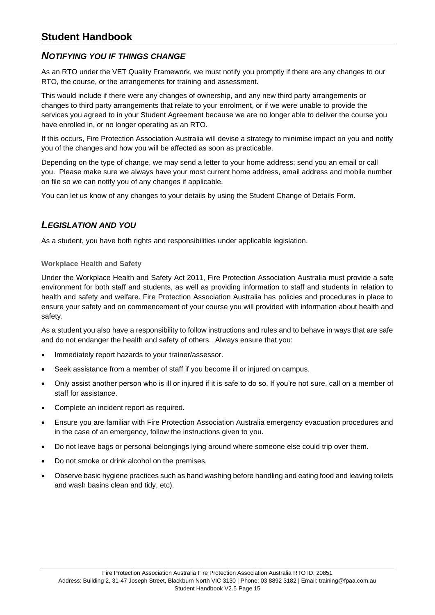## <span id="page-14-0"></span>*NOTIFYING YOU IF THINGS CHANGE*

As an RTO under the VET Quality Framework, we must notify you promptly if there are any changes to our RTO, the course, or the arrangements for training and assessment.

This would include if there were any changes of ownership, and any new third party arrangements or changes to third party arrangements that relate to your enrolment, or if we were unable to provide the services you agreed to in your Student Agreement because we are no longer able to deliver the course you have enrolled in, or no longer operating as an RTO.

If this occurs, Fire Protection Association Australia will devise a strategy to minimise impact on you and notify you of the changes and how you will be affected as soon as practicable.

Depending on the type of change, we may send a letter to your home address; send you an email or call you. Please make sure we always have your most current home address, email address and mobile number on file so we can notify you of any changes if applicable.

<span id="page-14-1"></span>You can let us know of any changes to your details by using the Student Change of Details Form.

## *LEGISLATION AND YOU*

As a student, you have both rights and responsibilities under applicable legislation.

## **Workplace Health and Safety**

Under the Workplace Health and Safety Act 2011, Fire Protection Association Australia must provide a safe environment for both staff and students, as well as providing information to staff and students in relation to health and safety and welfare. Fire Protection Association Australia has policies and procedures in place to ensure your safety and on commencement of your course you will provided with information about health and safety.

As a student you also have a responsibility to follow instructions and rules and to behave in ways that are safe and do not endanger the health and safety of others. Always ensure that you:

- Immediately report hazards to your trainer/assessor.
- Seek assistance from a member of staff if you become ill or injured on campus.
- Only assist another person who is ill or injured if it is safe to do so. If you're not sure, call on a member of staff for assistance.
- Complete an incident report as required.
- Ensure you are familiar with Fire Protection Association Australia emergency evacuation procedures and in the case of an emergency, follow the instructions given to you.
- Do not leave bags or personal belongings lying around where someone else could trip over them.
- Do not smoke or drink alcohol on the premises.
- Observe basic hygiene practices such as hand washing before handling and eating food and leaving toilets and wash basins clean and tidy, etc).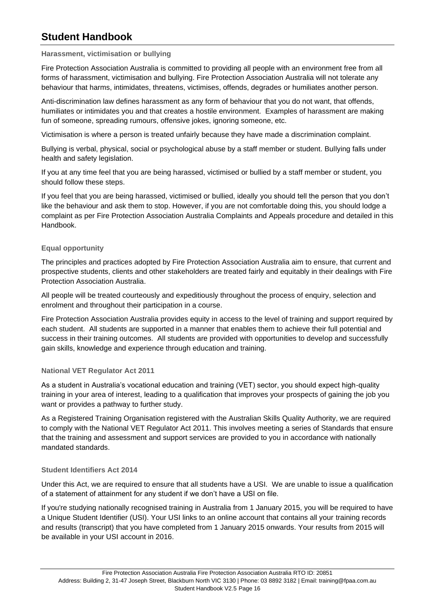#### **Harassment, victimisation or bullying**

Fire Protection Association Australia is committed to providing all people with an environment free from all forms of harassment, victimisation and bullying. Fire Protection Association Australia will not tolerate any behaviour that harms, intimidates, threatens, victimises, offends, degrades or humiliates another person.

Anti-discrimination law defines harassment as any form of behaviour that you do not want, that offends, humiliates or intimidates you and that creates a hostile environment. Examples of harassment are making fun of someone, spreading rumours, offensive jokes, ignoring someone, etc.

Victimisation is where a person is treated unfairly because they have made a discrimination complaint.

Bullying is verbal, physical, social or psychological abuse by a staff member or student. Bullying falls under health and safety legislation.

If you at any time feel that you are being harassed, victimised or bullied by a staff member or student, you should follow these steps.

If you feel that you are being harassed, victimised or bullied, ideally you should tell the person that you don't like the behaviour and ask them to stop. However, if you are not comfortable doing this, you should lodge a complaint as per Fire Protection Association Australia Complaints and Appeals procedure and detailed in this Handbook.

## **Equal opportunity**

The principles and practices adopted by Fire Protection Association Australia aim to ensure, that current and prospective students, clients and other stakeholders are treated fairly and equitably in their dealings with Fire Protection Association Australia.

All people will be treated courteously and expeditiously throughout the process of enquiry, selection and enrolment and throughout their participation in a course.

Fire Protection Association Australia provides equity in access to the level of training and support required by each student. All students are supported in a manner that enables them to achieve their full potential and success in their training outcomes. All students are provided with opportunities to develop and successfully gain skills, knowledge and experience through education and training.

#### **National VET Regulator Act 2011**

As a student in Australia's vocational education and training (VET) sector, you should expect high-quality training in your area of interest, leading to a qualification that improves your prospects of gaining the job you want or provides a pathway to further study.

As a Registered Training Organisation registered with the Australian Skills Quality Authority, we are required to comply with the National VET Regulator Act 2011. This involves meeting a series of Standards that ensure that the training and assessment and support services are provided to you in accordance with nationally mandated standards.

#### **Student Identifiers Act 2014**

Under this Act, we are required to ensure that all students have a USI. We are unable to issue a qualification of a statement of attainment for any student if we don't have a USI on file.

If you're studying [nationally recognised training](http://usi.gov.au/Students/Pages/nationally-recognised-training.aspx) in Australia from 1 January 2015, you will be required to have a Unique Student Identifier (USI). Your USI links to an online account that contains all your [training records](http://usi.gov.au/Students/Pages/training-records-and-results.aspx)  [and results](http://usi.gov.au/Students/Pages/training-records-and-results.aspx) (transcript) that you have completed from 1 January 2015 onwards. Your results from 2015 will be available in your USI account in 2016.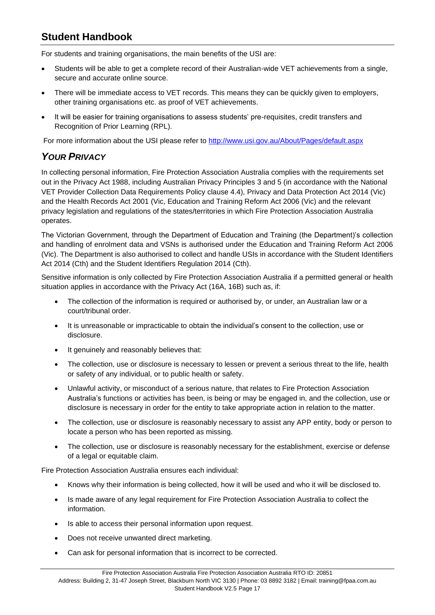For students and training organisations, the main benefits of the USI are:

- Students will be able to get a complete record of their Australian-wide VET achievements from a single, secure and accurate online source.
- There will be immediate access to VET records. This means they can be quickly given to employers, other training organisations etc. as proof of VET achievements.
- It will be easier for training organisations to assess students' pre-requisites, credit transfers and Recognition of Prior Learning (RPL).

For more information about the USI please refer to <http://www.usi.gov.au/About/Pages/default.aspx>

# *YOUR PRIVACY*

In collecting personal information, Fire Protection Association Australia complies with the requirements set out in the Privacy Act 1988, including Australian Privacy Principles 3 and 5 (in accordance with the National VET Provider Collection Data Requirements Policy clause 4.4), Privacy and Data Protection Act 2014 (Vic) and the Health Records Act 2001 (Vic, Education and Training Reform Act 2006 (Vic) and the relevant privacy legislation and regulations of the states/territories in which Fire Protection Association Australia operates.

The Victorian Government, through the Department of Education and Training (the Department)'s collection and handling of enrolment data and VSNs is authorised under the Education and Training Reform Act 2006 (Vic). The Department is also authorised to collect and handle USIs in accordance with the Student Identifiers Act 2014 (Cth) and the Student Identifiers Regulation 2014 (Cth).

Sensitive information is only collected by Fire Protection Association Australia if a permitted general or health situation applies in accordance with the Privacy Act (16A, 16B) such as, if:

- The collection of the information is required or authorised by, or under, an Australian law or a court/tribunal order.
- It is unreasonable or impracticable to obtain the individual's consent to the collection, use or disclosure.
- It genuinely and reasonably believes that:
- The collection, use or disclosure is necessary to lessen or prevent a serious threat to the life, health or safety of any individual, or to public health or safety.
- Unlawful activity, or misconduct of a serious nature, that relates to Fire Protection Association Australia's functions or activities has been, is being or may be engaged in, and the collection, use or disclosure is necessary in order for the entity to take appropriate action in relation to the matter.
- The collection, use or disclosure is reasonably necessary to assist any APP entity, body or person to locate a person who has been reported as missing.
- The collection, use or disclosure is reasonably necessary for the establishment, exercise or defense of a legal or equitable claim.

Fire Protection Association Australia ensures each individual:

- Knows why their information is being collected, how it will be used and who it will be disclosed to.
- Is made aware of any legal requirement for Fire Protection Association Australia to collect the information.
- Is able to access their personal information upon request.
- Does not receive unwanted direct marketing.
- Can ask for personal information that is incorrect to be corrected.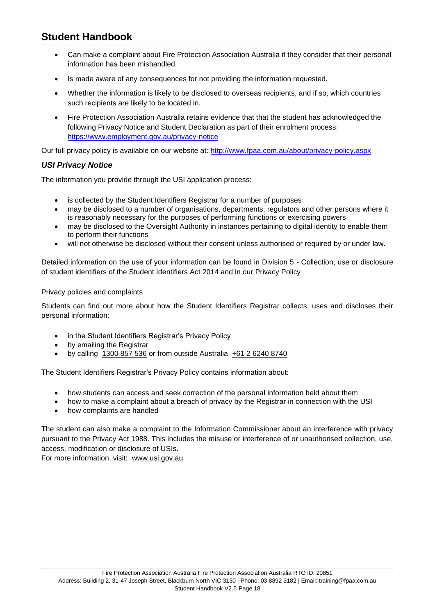- Can make a complaint about Fire Protection Association Australia if they consider that their personal information has been mishandled.
- Is made aware of any consequences for not providing the information requested.
- Whether the information is likely to be disclosed to overseas recipients, and if so, which countries such recipients are likely to be located in.
- Fire Protection Association Australia retains evidence that that the student has acknowledged the following Privacy Notice and Student Declaration as part of their enrolment process: <https://www.employment.gov.au/privacy-notice>

Our full privacy policy is available on our website at:<http://www.fpaa.com.au/about/privacy-policy.aspx>

## *USI Privacy Notice*

The information you provide through the USI application process:

- is collected by the Student Identifiers Registrar for a number of purposes
- may be disclosed to a number of organisations, departments, regulators and other persons where it is reasonably necessary for the purposes of performing functions or exercising powers
- may be disclosed to the Oversight Authority in instances pertaining to digital identity to enable them to perform their functions
- will not otherwise be disclosed without their consent unless authorised or required by or under law.

Detailed information on the use of your information can be found in Division 5 - Collection, use or disclosure of student identifiers of the Student Identifiers Act 2014 and in our Privacy Policy

#### Privacy policies and complaints

Students can find out more about how the Student Identifiers Registrar collects, uses and discloses their personal information:

- in the Student Identifiers Registrar's Privacy Policy
- by emailing the Registrar
- by calling [1300 857 536](tel:1300857536) or from outside Australia [+61 2 6240 8740](tel:+61262408740)

The Student Identifiers Registrar's Privacy Policy contains information about:

- how students can access and seek correction of the personal information held about them
- how to make a complaint about a breach of privacy by the Registrar in connection with the USI
- how complaints are handled

The student can also make a complaint to the Information Commissioner about an interference with privacy pursuant to the Privacy Act 1988. This includes the misuse or interference of or unauthorised collection, use, access, modification or disclosure of USIs.

For more information, visit: [www.usi.gov.au](http://www.usi.gov.au/)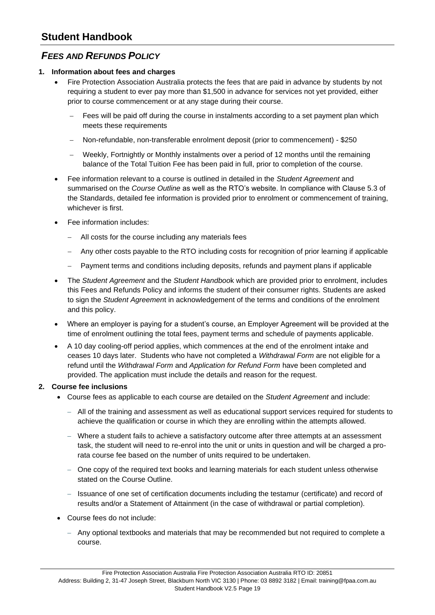## <span id="page-18-0"></span>*FEES AND REFUNDS POLICY*

## **1. Information about fees and charges**

- Fire Protection Association Australia protects the fees that are paid in advance by students by not requiring a student to ever pay more than \$1,500 in advance for services not yet provided, either prior to course commencement or at any stage during their course.
	- Fees will be paid off during the course in instalments according to a set payment plan which meets these requirements
	- − Non-refundable, non-transferable enrolment deposit (prior to commencement) \$250
	- − Weekly, Fortnightly or Monthly instalments over a period of 12 months until the remaining balance of the Total Tuition Fee has been paid in full, prior to completion of the course.
- Fee information relevant to a course is outlined in detailed in the *Student Agreement* and summarised on the *Course Outline* as well as the RTO's website. In compliance with Clause 5.3 of the Standards, detailed fee information is provided prior to enrolment or commencement of training, whichever is first.
- Fee information includes:
	- All costs for the course including any materials fees
	- Any other costs payable to the RTO including costs for recognition of prior learning if applicable
	- Payment terms and conditions including deposits, refunds and payment plans if applicable
- The *Student Agreement* and the *Student Handboo*k which are provided prior to enrolment, includes this Fees and Refunds Policy and informs the student of their consumer rights. Students are asked to sign the *Student Agreemen*t in acknowledgement of the terms and conditions of the enrolment and this policy.
- Where an employer is paying for a student's course, an Employer Agreement will be provided at the time of enrolment outlining the total fees, payment terms and schedule of payments applicable.
- A 10 day cooling-off period applies, which commences at the end of the enrolment intake and ceases 10 days later. Students who have not completed a *Withdrawal Form* are not eligible for a refund until the *Withdrawal Form* and *Application for Refund Form* have been completed and provided. The application must include the details and reason for the request.

## **2. Course fee inclusions**

- Course fees as applicable to each course are detailed on the *Student Agreement* and include:
	- − All of the training and assessment as well as educational support services required for students to achieve the qualification or course in which they are enrolling within the attempts allowed.
	- − Where a student fails to achieve a satisfactory outcome after three attempts at an assessment task, the student will need to re-enrol into the unit or units in question and will be charged a prorata course fee based on the number of units required to be undertaken.
	- − One copy of the required text books and learning materials for each student unless otherwise stated on the Course Outline.
	- − Issuance of one set of certification documents including the testamur (certificate) and record of results and/or a Statement of Attainment (in the case of withdrawal or partial completion).
- Course fees do not include:
	- − Any optional textbooks and materials that may be recommended but not required to complete a course.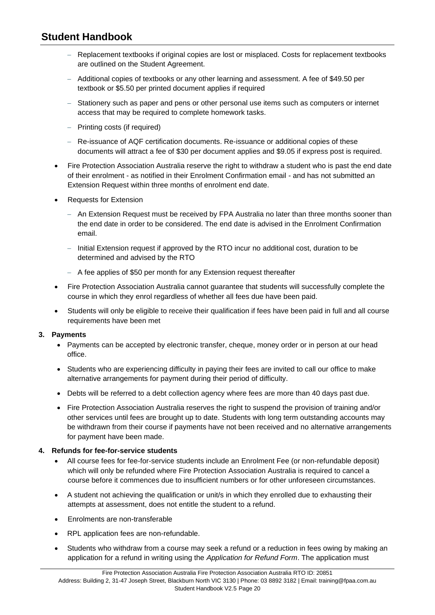- Replacement textbooks if original copies are lost or misplaced. Costs for replacement textbooks are outlined on the Student Agreement.
- − Additional copies of textbooks or any other learning and assessment. A fee of \$49.50 per textbook or \$5.50 per printed document applies if required
- Stationery such as paper and pens or other personal use items such as computers or internet access that may be required to complete homework tasks.
- − Printing costs (if required)
- − Re-issuance of AQF certification documents. Re-issuance or additional copies of these documents will attract a fee of \$30 per document applies and \$9.05 if express post is required.
- Fire Protection Association Australia reserve the right to withdraw a student who is past the end date of their enrolment - as notified in their Enrolment Confirmation email - and has not submitted an Extension Request within three months of enrolment end date.
- Requests for Extension
	- − An Extension Request must be received by FPA Australia no later than three months sooner than the end date in order to be considered. The end date is advised in the Enrolment Confirmation email.
	- − Initial Extension request if approved by the RTO incur no additional cost, duration to be determined and advised by the RTO
	- − A fee applies of \$50 per month for any Extension request thereafter
- Fire Protection Association Australia cannot guarantee that students will successfully complete the course in which they enrol regardless of whether all fees due have been paid.
- Students will only be eligible to receive their qualification if fees have been paid in full and all course requirements have been met

#### **3. Payments**

- Payments can be accepted by electronic transfer, cheque, money order or in person at our head office.
- Students who are experiencing difficulty in paying their fees are invited to call our office to make alternative arrangements for payment during their period of difficulty.
- Debts will be referred to a debt collection agency where fees are more than 40 days past due.
- Fire Protection Association Australia reserves the right to suspend the provision of training and/or other services until fees are brought up to date. Students with long term outstanding accounts may be withdrawn from their course if payments have not been received and no alternative arrangements for payment have been made.

## **4. Refunds for fee-for-service students**

- All course fees for fee-for-service students include an Enrolment Fee (or non-refundable deposit) which will only be refunded where Fire Protection Association Australia is required to cancel a course before it commences due to insufficient numbers or for other unforeseen circumstances.
- A student not achieving the qualification or unit/s in which they enrolled due to exhausting their attempts at assessment, does not entitle the student to a refund.
- Enrolments are non-transferable
- RPL application fees are non-refundable.
- Students who withdraw from a course may seek a refund or a reduction in fees owing by making an application for a refund in writing using the *Application for Refund Form*. The application must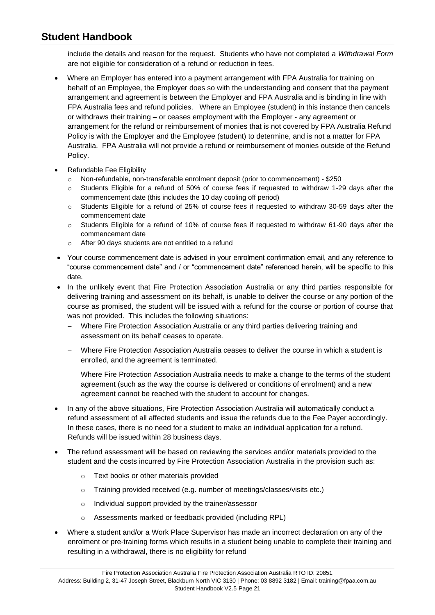include the details and reason for the request. Students who have not completed a *Withdrawal Form* are not eligible for consideration of a refund or reduction in fees.

- Where an Employer has entered into a payment arrangement with FPA Australia for training on behalf of an Employee, the Employer does so with the understanding and consent that the payment arrangement and agreement is between the Employer and FPA Australia and is binding in line with FPA Australia fees and refund policies. Where an Employee (student) in this instance then cancels or withdraws their training – or ceases employment with the Employer - any agreement or arrangement for the refund or reimbursement of monies that is not covered by FPA Australia Refund Policy is with the Employer and the Employee (student) to determine, and is not a matter for FPA Australia. FPA Australia will not provide a refund or reimbursement of monies outside of the Refund Policy.
- Refundable Fee Eligibility
	- o Non-refundable, non-transferable enrolment deposit (prior to commencement) \$250
	- o Students Eligible for a refund of 50% of course fees if requested to withdraw 1-29 days after the commencement date (this includes the 10 day cooling off period)
	- o Students Eligible for a refund of 25% of course fees if requested to withdraw 30-59 days after the commencement date
	- o Students Eligible for a refund of 10% of course fees if requested to withdraw 61-90 days after the commencement date
	- o After 90 days students are not entitled to a refund
- Your course commencement date is advised in your enrolment confirmation email, and any reference to "course commencement date" and / or "commencement date" referenced herein, will be specific to this date.
- In the unlikely event that Fire Protection Association Australia or any third parties responsible for delivering training and assessment on its behalf, is unable to deliver the course or any portion of the course as promised, the student will be issued with a refund for the course or portion of course that was not provided. This includes the following situations:
	- − Where Fire Protection Association Australia or any third parties delivering training and assessment on its behalf ceases to operate.
	- − Where Fire Protection Association Australia ceases to deliver the course in which a student is enrolled, and the agreement is terminated.
	- − Where Fire Protection Association Australia needs to make a change to the terms of the student agreement (such as the way the course is delivered or conditions of enrolment) and a new agreement cannot be reached with the student to account for changes.
- In any of the above situations, Fire Protection Association Australia will automatically conduct a refund assessment of all affected students and issue the refunds due to the Fee Payer accordingly. In these cases, there is no need for a student to make an individual application for a refund. Refunds will be issued within 28 business days.
- The refund assessment will be based on reviewing the services and/or materials provided to the student and the costs incurred by Fire Protection Association Australia in the provision such as:
	- o Text books or other materials provided
	- o Training provided received (e.g. number of meetings/classes/visits etc.)
	- o Individual support provided by the trainer/assessor
	- o Assessments marked or feedback provided (including RPL)
- Where a student and/or a Work Place Supervisor has made an incorrect declaration on any of the enrolment or pre-training forms which results in a student being unable to complete their training and resulting in a withdrawal, there is no eligibility for refund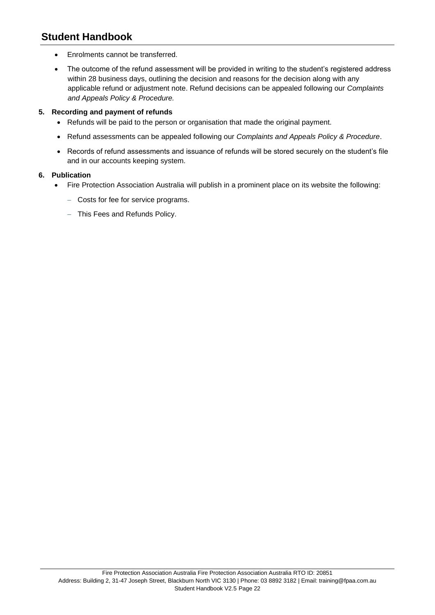- Enrolments cannot be transferred.
- The outcome of the refund assessment will be provided in writing to the student's registered address within 28 business days, outlining the decision and reasons for the decision along with any applicable refund or adjustment note. Refund decisions can be appealed following our *Complaints and Appeals Policy & Procedure.*

## **5. Recording and payment of refunds**

- Refunds will be paid to the person or organisation that made the original payment.
- Refund assessments can be appealed following our *Complaints and Appeals Policy & Procedure*.
- Records of refund assessments and issuance of refunds will be stored securely on the student's file and in our accounts keeping system.

## **6. Publication**

- <span id="page-21-0"></span>• Fire Protection Association Australia will publish in a prominent place on its website the following:
	- − Costs for fee for service programs.
	- − This Fees and Refunds Policy.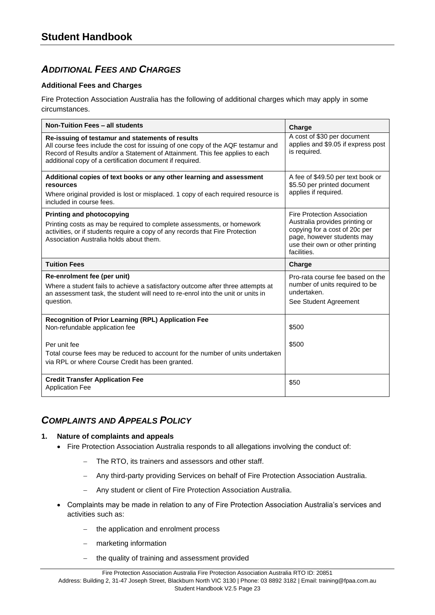# *ADDITIONAL FEES AND CHARGES*

## **Additional Fees and Charges**

Fire Protection Association Australia has the following of additional charges which may apply in some circumstances.

| Non-Tuition Fees - all students                                                                                                                                                                                                                                                  | Charge                                                                                                                                                                                |
|----------------------------------------------------------------------------------------------------------------------------------------------------------------------------------------------------------------------------------------------------------------------------------|---------------------------------------------------------------------------------------------------------------------------------------------------------------------------------------|
| Re-issuing of testamur and statements of results<br>All course fees include the cost for issuing of one copy of the AQF testamur and<br>Record of Results and/or a Statement of Attainment. This fee applies to each<br>additional copy of a certification document if required. | A cost of \$30 per document<br>applies and \$9.05 if express post<br>is required.                                                                                                     |
| Additional copies of text books or any other learning and assessment<br>resources<br>Where original provided is lost or misplaced. 1 copy of each required resource is<br>included in course fees.                                                                               | A fee of \$49.50 per text book or<br>\$5.50 per printed document<br>applies if required.                                                                                              |
| <b>Printing and photocopying</b><br>Printing costs as may be required to complete assessments, or homework<br>activities, or if students require a copy of any records that Fire Protection<br>Association Australia holds about them.                                           | <b>Fire Protection Association</b><br>Australia provides printing or<br>copying for a cost of 20c per<br>page, however students may<br>use their own or other printing<br>facilities. |
|                                                                                                                                                                                                                                                                                  |                                                                                                                                                                                       |
| <b>Tuition Fees</b>                                                                                                                                                                                                                                                              | Charge                                                                                                                                                                                |
| Re-enrolment fee (per unit)<br>Where a student fails to achieve a satisfactory outcome after three attempts at<br>an assessment task, the student will need to re-enrol into the unit or units in<br>question.                                                                   | Pro-rata course fee based on the<br>number of units required to be<br>undertaken.<br>See Student Agreement                                                                            |
| Recognition of Prior Learning (RPL) Application Fee<br>Non-refundable application fee                                                                                                                                                                                            | \$500                                                                                                                                                                                 |
| Per unit fee<br>Total course fees may be reduced to account for the number of units undertaken<br>via RPL or where Course Credit has been granted.                                                                                                                               | \$500                                                                                                                                                                                 |

## <span id="page-22-0"></span>*COMPLAINTS AND APPEALS POLICY*

#### **1. Nature of complaints and appeals**

- Fire Protection Association Australia responds to all allegations involving the conduct of:
	- − The RTO, its trainers and assessors and other staff.
	- − Any third-party providing Services on behalf of Fire Protection Association Australia.
	- − Any student or client of Fire Protection Association Australia.
- Complaints may be made in relation to any of Fire Protection Association Australia's services and activities such as:
	- − the application and enrolment process
	- − marketing information
	- the quality of training and assessment provided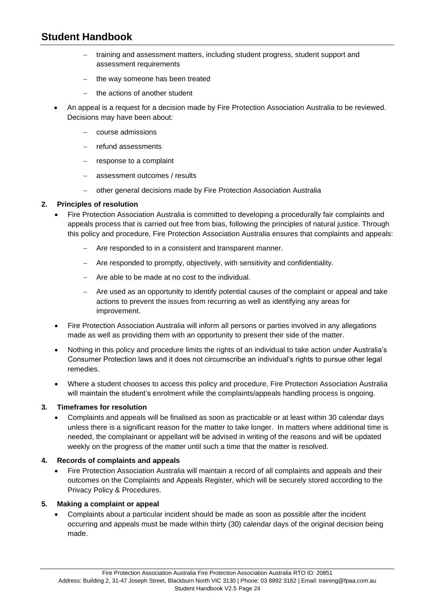- − training and assessment matters, including student progress, student support and assessment requirements
- the way someone has been treated
- the actions of another student
- An appeal is a request for a decision made by Fire Protection Association Australia to be reviewed. Decisions may have been about:
	- − course admissions
	- − refund assessments
	- response to a complaint
	- assessment outcomes / results
	- − other general decisions made by Fire Protection Association Australia

## **2. Principles of resolution**

- Fire Protection Association Australia is committed to developing a procedurally fair complaints and appeals process that is carried out free from bias, following the principles of natural justice. Through this policy and procedure, Fire Protection Association Australia ensures that complaints and appeals:
	- Are responded to in a consistent and transparent manner.
	- − Are responded to promptly, objectively, with sensitivity and confidentiality.
	- − Are able to be made at no cost to the individual.
	- Are used as an opportunity to identify potential causes of the complaint or appeal and take actions to prevent the issues from recurring as well as identifying any areas for improvement.
- Fire Protection Association Australia will inform all persons or parties involved in any allegations made as well as providing them with an opportunity to present their side of the matter.
- Nothing in this policy and procedure limits the rights of an individual to take action under Australia's Consumer Protection laws and it does not circumscribe an individual's rights to pursue other legal remedies.
- Where a student chooses to access this policy and procedure, Fire Protection Association Australia will maintain the student's enrolment while the complaints/appeals handling process is ongoing.

## **3. Timeframes for resolution**

• Complaints and appeals will be finalised as soon as practicable or at least within 30 calendar days unless there is a significant reason for the matter to take longer. In matters where additional time is needed, the complainant or appellant will be advised in writing of the reasons and will be updated weekly on the progress of the matter until such a time that the matter is resolved.

## **4. Records of complaints and appeals**

• Fire Protection Association Australia will maintain a record of all complaints and appeals and their outcomes on the Complaints and Appeals Register, which will be securely stored according to the Privacy Policy & Procedures.

## **5. Making a complaint or appeal**

• Complaints about a particular incident should be made as soon as possible after the incident occurring and appeals must be made within thirty (30) calendar days of the original decision being made.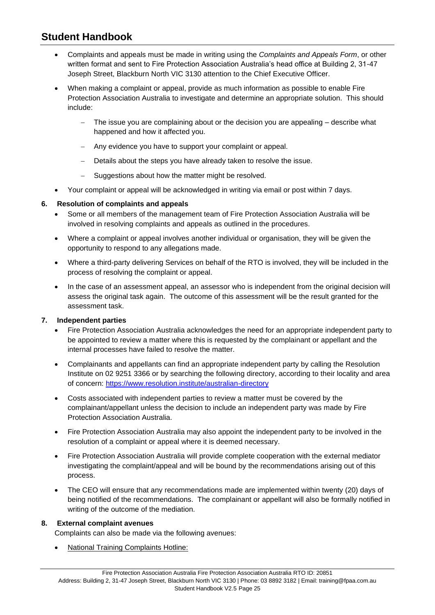- Complaints and appeals must be made in writing using the *Complaints and Appeals Form*, or other written format and sent to Fire Protection Association Australia's head office at Building 2, 31-47 Joseph Street, Blackburn North VIC 3130 attention to the Chief Executive Officer.
- When making a complaint or appeal, provide as much information as possible to enable Fire Protection Association Australia to investigate and determine an appropriate solution. This should include:
	- The issue you are complaining about or the decision you are appealing describe what happened and how it affected you.
	- − Any evidence you have to support your complaint or appeal.
	- − Details about the steps you have already taken to resolve the issue.
	- Suggestions about how the matter might be resolved.
- Your complaint or appeal will be acknowledged in writing via email or post within 7 days.

## **6. Resolution of complaints and appeals**

- Some or all members of the management team of Fire Protection Association Australia will be involved in resolving complaints and appeals as outlined in the procedures.
- Where a complaint or appeal involves another individual or organisation, they will be given the opportunity to respond to any allegations made.
- Where a third-party delivering Services on behalf of the RTO is involved, they will be included in the process of resolving the complaint or appeal.
- In the case of an assessment appeal, an assessor who is independent from the original decision will assess the original task again. The outcome of this assessment will be the result granted for the assessment task.

## **7. Independent parties**

- Fire Protection Association Australia acknowledges the need for an appropriate independent party to be appointed to review a matter where this is requested by the complainant or appellant and the internal processes have failed to resolve the matter.
- Complainants and appellants can find an appropriate independent party by calling the Resolution Institute on 02 9251 3366 or by searching the following directory, according to their locality and area of concern:<https://www.resolution.institute/australian-directory>
- Costs associated with independent parties to review a matter must be covered by the complainant/appellant unless the decision to include an independent party was made by Fire Protection Association Australia.
- Fire Protection Association Australia may also appoint the independent party to be involved in the resolution of a complaint or appeal where it is deemed necessary.
- Fire Protection Association Australia will provide complete cooperation with the external mediator investigating the complaint/appeal and will be bound by the recommendations arising out of this process.
- The CEO will ensure that any recommendations made are implemented within twenty (20) days of being notified of the recommendations. The complainant or appellant will also be formally notified in writing of the outcome of the mediation.

## **8. External complaint avenues**

Complaints can also be made via the following avenues:

• National Training Complaints Hotline: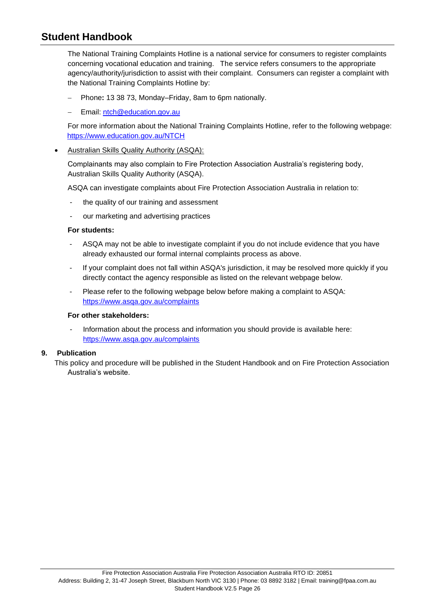The National Training Complaints Hotline is a national service for consumers to register complaints concerning vocational education and training. The service refers consumers to the appropriate agency/authority/jurisdiction to assist with their complaint. Consumers can register a complaint with the National Training Complaints Hotline by:

- − Phone**:** 13 38 73, Monday–Friday, 8am to 6pm nationally.
- − Email: [ntch@education.gov.au](mailto:ntch@education.gov.au)

For more information about the National Training Complaints Hotline, refer to the following webpage: <https://www.education.gov.au/NTCH>

• Australian Skills Quality Authority (ASQA):

Complainants may also complain to Fire Protection Association Australia's registering body, Australian Skills Quality Authority (ASQA).

ASQA can investigate complaints about Fire Protection Association Australia in relation to:

- the quality of our training and assessment
- our marketing and advertising practices

#### **For students:**

- ASQA may not be able to investigate complaint if you do not include evidence that you have already exhausted our formal internal complaints process as above.
- If your complaint does not fall within ASQA's jurisdiction, it may be resolved more quickly if you directly contact the agency responsible as listed on the relevant webpage below.
- Please refer to the following webpage below before making a complaint to ASQA: <https://www.asqa.gov.au/complaints>

#### **For other stakeholders:**

Information about the process and information you should provide is available here: <https://www.asqa.gov.au/complaints>

#### **9. Publication**

<span id="page-25-0"></span>This policy and procedure will be published in the Student Handbook and on Fire Protection Association Australia's website.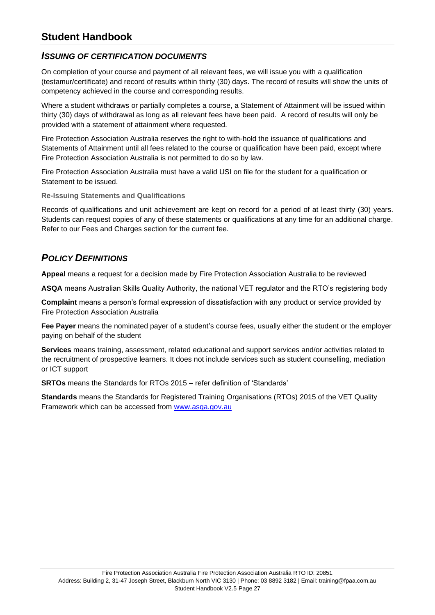## *ISSUING OF CERTIFICATION DOCUMENTS*

On completion of your course and payment of all relevant fees, we will issue you with a qualification (testamur/certificate) and record of results within thirty (30) days. The record of results will show the units of competency achieved in the course and corresponding results.

Where a student withdraws or partially completes a course, a Statement of Attainment will be issued within thirty (30) days of withdrawal as long as all relevant fees have been paid. A record of results will only be provided with a statement of attainment where requested.

Fire Protection Association Australia reserves the right to with-hold the issuance of qualifications and Statements of Attainment until all fees related to the course or qualification have been paid, except where Fire Protection Association Australia is not permitted to do so by law.

Fire Protection Association Australia must have a valid USI on file for the student for a qualification or Statement to be issued.

**Re-Issuing Statements and Qualifications**

Records of qualifications and unit achievement are kept on record for a period of at least thirty (30) years. Students can request copies of any of these statements or qualifications at any time for an additional charge. Refer to our Fees and Charges section for the current fee.

## <span id="page-26-0"></span>*POLICY DEFINITIONS*

**Appeal** means a request for a decision made by Fire Protection Association Australia to be reviewed

**ASQA** means Australian Skills Quality Authority, the national VET regulator and the RTO's registering body

**Complaint** means a person's formal expression of dissatisfaction with any product or service provided by Fire Protection Association Australia

**Fee Payer** means the nominated payer of a student's course fees, usually either the student or the employer paying on behalf of the student

**Services** means training, assessment, related educational and support services and/or activities related to the recruitment of prospective learners. It does not include services such as student counselling, mediation or ICT support

**SRTOs** means the Standards for RTOs 2015 – refer definition of 'Standards'

<span id="page-26-1"></span>**Standards** means the Standards for Registered Training Organisations (RTOs) 2015 of the VET Quality Framework which can be accessed from [www.asqa.gov.au](http://www.asqa.gov.au/)